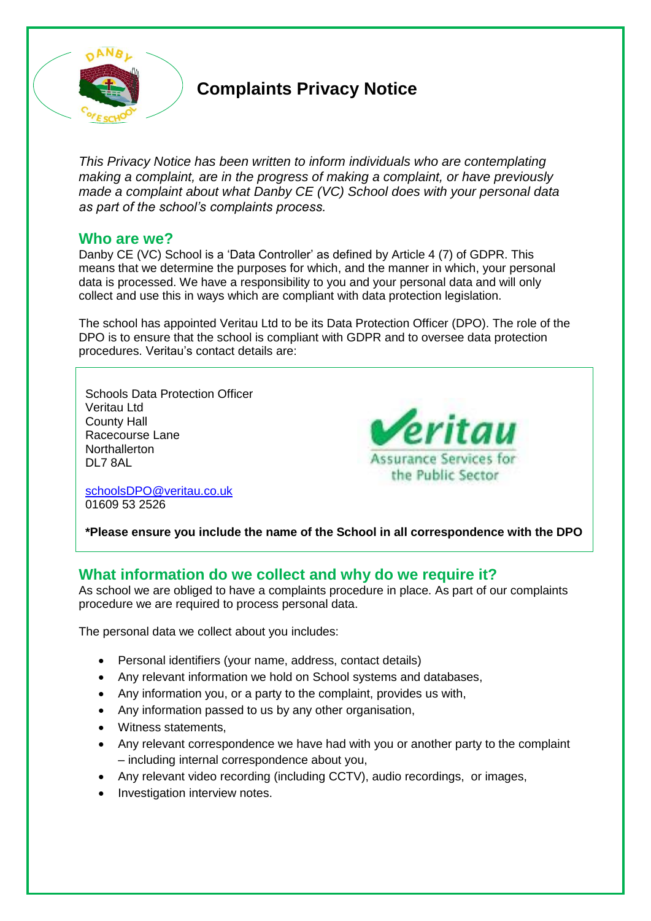

# **Complaints Privacy Notice**

*This Privacy Notice has been written to inform individuals who are contemplating making a complaint, are in the progress of making a complaint, or have previously made a complaint about what Danby CE (VC) School does with your personal data as part of the school's complaints process.*

## **Who are we?**

Danby CE (VC) School is a 'Data Controller' as defined by Article 4 (7) of GDPR. This means that we determine the purposes for which, and the manner in which, your personal data is processed. We have a responsibility to you and your personal data and will only collect and use this in ways which are compliant with data protection legislation.

The school has appointed Veritau Ltd to be its Data Protection Officer (DPO). The role of the DPO is to ensure that the school is compliant with GDPR and to oversee data protection procedures. Veritau's contact details are:

Schools Data Protection Officer Veritau Ltd County Hall Racecourse Lane **Northallerton** DL7 8AL

eritau **Assurance Services for** the Public Sector

[schoolsDPO@veritau.co.uk](mailto:schoolsDPO@veritau.co.uk) 01609 53 2526

**\*Please ensure you include the name of the School in all correspondence with the DPO** 

# **What information do we collect and why do we require it?**

As school we are obliged to have a complaints procedure in place. As part of our complaints procedure we are required to process personal data.

The personal data we collect about you includes:

- Personal identifiers (your name, address, contact details)
- Any relevant information we hold on School systems and databases,
- Any information you, or a party to the complaint, provides us with,
- Any information passed to us by any other organisation,
- Witness statements,
- Any relevant correspondence we have had with you or another party to the complaint – including internal correspondence about you,
- Any relevant video recording (including CCTV), audio recordings, or images,
- Investigation interview notes.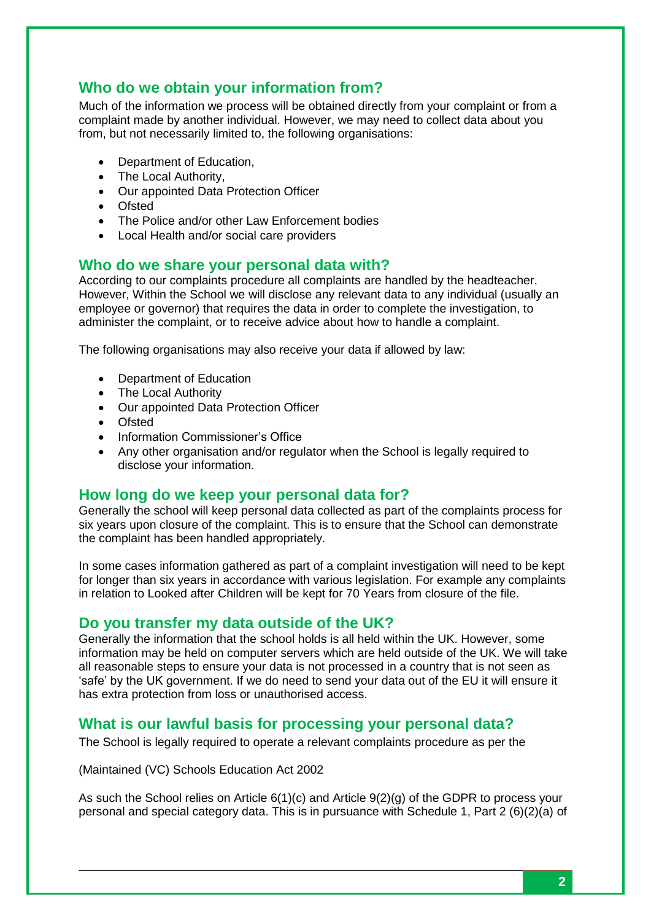# **Who do we obtain your information from?**

Much of the information we process will be obtained directly from your complaint or from a complaint made by another individual. However, we may need to collect data about you from, but not necessarily limited to, the following organisations:

- Department of Education,
- The Local Authority,
- Our appointed Data Protection Officer
- Ofsted
- The Police and/or other Law Enforcement bodies
- Local Health and/or social care providers

#### **Who do we share your personal data with?**

According to our complaints procedure all complaints are handled by the headteacher. However, Within the School we will disclose any relevant data to any individual (usually an employee or governor) that requires the data in order to complete the investigation, to administer the complaint, or to receive advice about how to handle a complaint.

The following organisations may also receive your data if allowed by law:

- Department of Education
- The Local Authority
- Our appointed Data Protection Officer
- Ofsted
- Information Commissioner's Office
- Any other organisation and/or regulator when the School is legally required to disclose your information.

## **How long do we keep your personal data for?**

Generally the school will keep personal data collected as part of the complaints process for six years upon closure of the complaint. This is to ensure that the School can demonstrate the complaint has been handled appropriately.

In some cases information gathered as part of a complaint investigation will need to be kept for longer than six years in accordance with various legislation. For example any complaints in relation to Looked after Children will be kept for 70 Years from closure of the file.

#### **Do you transfer my data outside of the UK?**

Generally the information that the school holds is all held within the UK. However, some information may be held on computer servers which are held outside of the UK. We will take all reasonable steps to ensure your data is not processed in a country that is not seen as 'safe' by the UK government. If we do need to send your data out of the EU it will ensure it has extra protection from loss or unauthorised access.

## **What is our lawful basis for processing your personal data?**

The School is legally required to operate a relevant complaints procedure as per the

(Maintained (VC) Schools Education Act 2002

As such the School relies on Article 6(1)(c) and Article 9(2)(g) of the GDPR to process your personal and special category data. This is in pursuance with Schedule 1, Part 2 (6)(2)(a) of